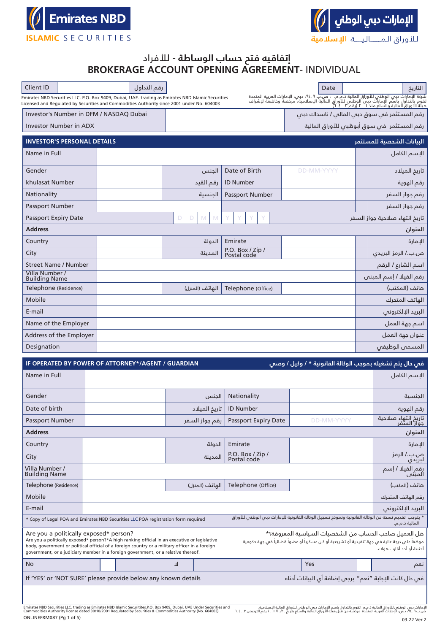



# **إتفاقيه فتح حساب الوساطة** - لألفراد **BROKERAGE ACCOUNT OPENING AGREEMENT**- INDIVIDUAL

| Client ID                                                                                                                                                                                                                                                                                                                      | رقم التداول |        |                 |                                                                                                     |                                             | Date              |  | التاريخ                                                                                                                                                                                                                            |  |  |  |  |  |
|--------------------------------------------------------------------------------------------------------------------------------------------------------------------------------------------------------------------------------------------------------------------------------------------------------------------------------|-------------|--------|-----------------|-----------------------------------------------------------------------------------------------------|---------------------------------------------|-------------------|--|------------------------------------------------------------------------------------------------------------------------------------------------------------------------------------------------------------------------------------|--|--|--|--|--|
| Emirates NBD Securities LLC. P.O. Box 9409, Dubai, UAE. trading as Emirates NBD Islamic Securities<br>Licensed and Regulated by Securities and Commodities Authority since 2001 under No. 604003                                                                                                                               |             |        |                 |                                                                                                     |                                             |                   |  | شركة الإمارات دبي الوطني للأوراق المالية ذ.م.م.   ،  ص.بٌ ٩. ٤.٩،  دبي،  الإمارات العربية المتحدة<br>تقوم بالتداول باسم الإمارات دبي الوطني للأوراق المالية الإسلامية، مرخصة وخاضعة لإشراف<br>هيئة الأوراق المالية والسلع منذ ٢.٠١ |  |  |  |  |  |
| Investor's Number in DFM / NASDAQ Dubai                                                                                                                                                                                                                                                                                        |             |        |                 |                                                                                                     | رقم المستثمر فں سوق دبں المالں / ناسداك دبں |                   |  |                                                                                                                                                                                                                                    |  |  |  |  |  |
| Investor Number in ADX                                                                                                                                                                                                                                                                                                         |             |        |                 |                                                                                                     | رقم المستثمر  فى سوق أبوظبى للأوراق المالية |                   |  |                                                                                                                                                                                                                                    |  |  |  |  |  |
| <b>INVESTOR'S PERSONAL DETAILS</b>                                                                                                                                                                                                                                                                                             |             |        |                 |                                                                                                     |                                             |                   |  | السانات الشخصية للمستثمر                                                                                                                                                                                                           |  |  |  |  |  |
| Name in Full                                                                                                                                                                                                                                                                                                                   |             |        |                 |                                                                                                     |                                             |                   |  | الإسم الكامل                                                                                                                                                                                                                       |  |  |  |  |  |
|                                                                                                                                                                                                                                                                                                                                |             |        |                 |                                                                                                     |                                             |                   |  |                                                                                                                                                                                                                                    |  |  |  |  |  |
| Gender                                                                                                                                                                                                                                                                                                                         |             |        | الجنس           | Date of Birth                                                                                       | DD-MM-YYYY                                  |                   |  | تاريخ الميلاد                                                                                                                                                                                                                      |  |  |  |  |  |
| khulasat Number                                                                                                                                                                                                                                                                                                                |             |        | رقم القيد       | <b>ID Number</b>                                                                                    |                                             |                   |  | رقم الهوية                                                                                                                                                                                                                         |  |  |  |  |  |
| Nationality                                                                                                                                                                                                                                                                                                                    |             |        | الحنسىة         | Passport Number                                                                                     |                                             |                   |  | رقم جواز السفر                                                                                                                                                                                                                     |  |  |  |  |  |
| Passport Number<br>Passport Expiry Date                                                                                                                                                                                                                                                                                        |             | D<br>D | M               |                                                                                                     |                                             |                   |  | رقم جواز السفر<br>تاريخ انتهاء صلاحية جواز السفر                                                                                                                                                                                   |  |  |  |  |  |
| <b>Address</b>                                                                                                                                                                                                                                                                                                                 |             |        | M               |                                                                                                     |                                             |                   |  |                                                                                                                                                                                                                                    |  |  |  |  |  |
| Country                                                                                                                                                                                                                                                                                                                        |             |        | الدولة          | Emirate                                                                                             |                                             |                   |  | العنوان<br>الإمارة                                                                                                                                                                                                                 |  |  |  |  |  |
| City                                                                                                                                                                                                                                                                                                                           |             |        | المدىنة         | P.O. Box / Zip /                                                                                    |                                             |                   |  | ص.ب./ الرمز البريدي                                                                                                                                                                                                                |  |  |  |  |  |
| Street Name / Number                                                                                                                                                                                                                                                                                                           |             |        |                 |                                                                                                     |                                             |                   |  | اسم الشارع / الرقم                                                                                                                                                                                                                 |  |  |  |  |  |
| Villa Number /                                                                                                                                                                                                                                                                                                                 |             |        |                 |                                                                                                     |                                             |                   |  | رقم الفيلا / إسم المبنى                                                                                                                                                                                                            |  |  |  |  |  |
| <b>Building Name</b><br>Telephone (Residence)                                                                                                                                                                                                                                                                                  |             |        | الهاتف (المنزل) | Telephone (Office)                                                                                  |                                             |                   |  | هاتف (المكتب)                                                                                                                                                                                                                      |  |  |  |  |  |
| Mobile                                                                                                                                                                                                                                                                                                                         |             |        |                 |                                                                                                     |                                             |                   |  | الهاتف المتدرك                                                                                                                                                                                                                     |  |  |  |  |  |
| E-mail                                                                                                                                                                                                                                                                                                                         |             |        |                 |                                                                                                     |                                             |                   |  | البريد الإلكترونى                                                                                                                                                                                                                  |  |  |  |  |  |
| Name of the Employer                                                                                                                                                                                                                                                                                                           |             |        |                 |                                                                                                     |                                             |                   |  | اسم جهة العمل                                                                                                                                                                                                                      |  |  |  |  |  |
| Address of the Employer                                                                                                                                                                                                                                                                                                        |             |        |                 |                                                                                                     |                                             |                   |  | عنوان جهة العمل                                                                                                                                                                                                                    |  |  |  |  |  |
| Designation                                                                                                                                                                                                                                                                                                                    |             |        |                 |                                                                                                     |                                             |                   |  | المسمى الوظيفى                                                                                                                                                                                                                     |  |  |  |  |  |
|                                                                                                                                                                                                                                                                                                                                |             |        |                 |                                                                                                     |                                             |                   |  |                                                                                                                                                                                                                                    |  |  |  |  |  |
| IF OPERATED BY POWER OF ATTORNEY*/AGENT / GUARDIAN                                                                                                                                                                                                                                                                             |             |        |                 |                                                                                                     |                                             |                   |  | فس حال يتم تشغيله بموجب الوكالة القانونية * <u>/ و</u> كيل / وصس <sup>.</sup>                                                                                                                                                      |  |  |  |  |  |
| Name in Full                                                                                                                                                                                                                                                                                                                   |             |        |                 |                                                                                                     |                                             |                   |  | الإسم الكامل                                                                                                                                                                                                                       |  |  |  |  |  |
| Gender                                                                                                                                                                                                                                                                                                                         |             |        | الحنس           | Nationality                                                                                         |                                             |                   |  | الحنسىة                                                                                                                                                                                                                            |  |  |  |  |  |
| Date of birth                                                                                                                                                                                                                                                                                                                  |             |        | تاريخ الميلاد   | <b>ID Number</b>                                                                                    |                                             |                   |  | رقم الهوية                                                                                                                                                                                                                         |  |  |  |  |  |
| Passport Number                                                                                                                                                                                                                                                                                                                |             |        | رقم جواز السفر  | Passport Expiry Date                                                                                |                                             | <b>DD-MM-YYYY</b> |  | تاريخ انتهاء صلاحية<br>جواز السفر                                                                                                                                                                                                  |  |  |  |  |  |
| <b>Address</b>                                                                                                                                                                                                                                                                                                                 |             |        |                 |                                                                                                     |                                             |                   |  | العنوان                                                                                                                                                                                                                            |  |  |  |  |  |
| Country                                                                                                                                                                                                                                                                                                                        |             |        | الدولة          | Emirate                                                                                             |                                             |                   |  | الإمارة                                                                                                                                                                                                                            |  |  |  |  |  |
| City                                                                                                                                                                                                                                                                                                                           |             |        | المدينة         | P.O. Box / Zip /<br>Postal code                                                                     |                                             |                   |  | ص.ب./ الرمز<br>لبريدى                                                                                                                                                                                                              |  |  |  |  |  |
| Villa Number /<br><b>Building Name</b>                                                                                                                                                                                                                                                                                         |             |        |                 |                                                                                                     |                                             |                   |  | رقم الفيلا / إسم<br>المبنى                                                                                                                                                                                                         |  |  |  |  |  |
| Telephone (Residence)                                                                                                                                                                                                                                                                                                          |             |        | الهاتف (المنزل) | Telephone (Office)                                                                                  |                                             |                   |  | هاتف (المكتب)                                                                                                                                                                                                                      |  |  |  |  |  |
| Mobile                                                                                                                                                                                                                                                                                                                         |             |        |                 |                                                                                                     |                                             |                   |  | رقم الهاتف المتحرك                                                                                                                                                                                                                 |  |  |  |  |  |
| E-mail                                                                                                                                                                                                                                                                                                                         |             |        |                 |                                                                                                     |                                             |                   |  | البريد الإلكترونى                                                                                                                                                                                                                  |  |  |  |  |  |
| * Copy of Legal POA and Emirates NBD Securities LLC POA registration form required                                                                                                                                                                                                                                             |             |        |                 | * يتوجب  تقديم نسخة عن الوكالة القانونية ونموذج تسجيل الوكالة القانونية للإمارات دبس الوطنس للأوراق |                                             |                   |  | المالية ذ.م.م.                                                                                                                                                                                                                     |  |  |  |  |  |
| Are you a politically exposed* person?<br>Are you a politically exposed* person?*A high ranking official in an executive or legislative<br>body, government or political official of a foreign country or a military officer in a foreign<br>government, or a judiciary member in a foreign government, or a relative thereof. |             |        |                 |                                                                                                     |                                             |                   |  | هل العميل صاحب الحساب من الشخصيات السياسية المعروفة؟*<br>موظفاً على درجة عالية فىي جهة تنفيذية أو تشريعية أو كان عسكرياً أو عضواً قضائياً فىي جهة حكومية<br>أجنبية أو أحد أقارب هؤلاء.                                             |  |  |  |  |  |
| No                                                                                                                                                                                                                                                                                                                             |             | ᆚ      |                 |                                                                                                     | Yes                                         |                   |  | نعم                                                                                                                                                                                                                                |  |  |  |  |  |
| If 'YES' or 'NOT SURE' please provide below any known details                                                                                                                                                                                                                                                                  |             |        |                 |                                                                                                     |                                             |                   |  |                                                                                                                                                                                                                                    |  |  |  |  |  |
|                                                                                                                                                                                                                                                                                                                                |             |        |                 |                                                                                                     |                                             |                   |  | فمي حال كانت الإجابة "نعم" يرجم إضافة أى البيانات أدناه                                                                                                                                                                            |  |  |  |  |  |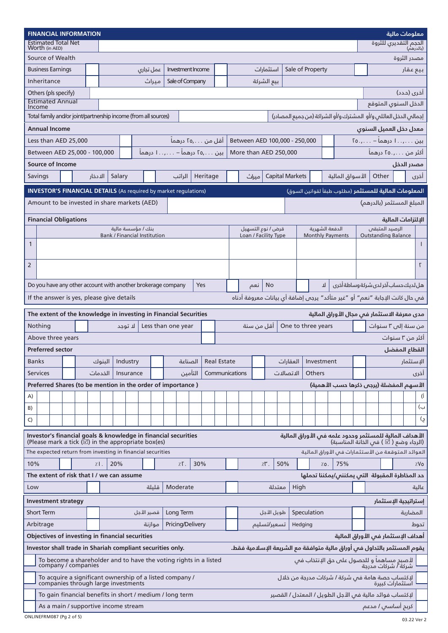| <b>FINANCIAL INFORMATION</b><br>معلومات مالية                                                                           |                                                                                                                                                                                                  |                          |                                                                                                                                         |         |         |        |                                     |            |       |           |                   |     |  |                    |  |                      |       |             |                                                                    |                  |                                           |                         |  |     |  |  |                |                                                                                                             |           |              |
|-------------------------------------------------------------------------------------------------------------------------|--------------------------------------------------------------------------------------------------------------------------------------------------------------------------------------------------|--------------------------|-----------------------------------------------------------------------------------------------------------------------------------------|---------|---------|--------|-------------------------------------|------------|-------|-----------|-------------------|-----|--|--------------------|--|----------------------|-------|-------------|--------------------------------------------------------------------|------------------|-------------------------------------------|-------------------------|--|-----|--|--|----------------|-------------------------------------------------------------------------------------------------------------|-----------|--------------|
|                                                                                                                         |                                                                                                                                                                                                  | Worth (in AED)           | <b>Estimated Total Net</b>                                                                                                              |         |         |        |                                     |            |       |           |                   |     |  |                    |  |                      |       |             |                                                                    |                  |                                           |                         |  |     |  |  |                | الحجم التقديري للثروة                                                                                       | (بالدرهم) |              |
|                                                                                                                         |                                                                                                                                                                                                  |                          | Source of Wealth                                                                                                                        |         |         |        |                                     |            |       |           |                   |     |  |                    |  |                      |       |             |                                                                    |                  |                                           |                         |  |     |  |  |                | مصدر الثروة                                                                                                 |           |              |
|                                                                                                                         |                                                                                                                                                                                                  | <b>Business Earnings</b> |                                                                                                                                         |         |         |        |                                     | عمل تجارى  |       |           | Investment Income |     |  |                    |  |                      |       | استثمارات   |                                                                    | Sale of Property |                                           |                         |  |     |  |  |                |                                                                                                             | بيع عقار  |              |
|                                                                                                                         |                                                                                                                                                                                                  | Inheritance              |                                                                                                                                         |         |         |        |                                     |            | مىراث |           | Sale of Company   |     |  |                    |  |                      |       | بيع الشركة  |                                                                    |                  |                                           |                         |  |     |  |  |                |                                                                                                             |           |              |
|                                                                                                                         |                                                                                                                                                                                                  | Others (pls specify)     |                                                                                                                                         |         |         |        |                                     |            |       |           |                   |     |  |                    |  |                      |       |             |                                                                    |                  |                                           |                         |  |     |  |  |                | أخرى (حدد)                                                                                                  |           |              |
|                                                                                                                         |                                                                                                                                                                                                  |                          | <b>Estimated Annual</b>                                                                                                                 |         |         |        | الدخل السنوى المتوقع                |            |       |           |                   |     |  |                    |  |                      |       |             |                                                                    |                  |                                           |                         |  |     |  |  |                |                                                                                                             |           |              |
|                                                                                                                         | Income                                                                                                                                                                                           |                          | Total family and/or joint/partnership income (from all sources)                                                                         |         |         |        |                                     |            |       |           |                   |     |  |                    |  |                      |       |             | إجمالى الدخل العائلى و/أو   المشترك و/أو الشراكة (من جميع المصادر) |                  |                                           |                         |  |     |  |  |                |                                                                                                             |           |              |
|                                                                                                                         |                                                                                                                                                                                                  | <b>Annual Income</b>     |                                                                                                                                         |         |         |        |                                     |            |       |           |                   |     |  |                    |  |                      |       |             |                                                                    |                  |                                           |                         |  |     |  |  |                | معدل دخل العميل السنوى                                                                                      |           |              |
|                                                                                                                         |                                                                                                                                                                                                  |                          | Less than AED 25,000                                                                                                                    |         |         |        |                                     |            |       |           |                   |     |  |                    |  |                      |       |             |                                                                    |                  |                                           |                         |  |     |  |  |                |                                                                                                             |           |              |
|                                                                                                                         | Between AED 100,000 - 250,000<br>بین , ا درهماً – , . ۲٥<br>آقل من ۲۵٫۰۰۰ درهما<br>Between AED 25,000 - 100,000<br>بین ,ro درهماً – , ا درهماً<br>More than AED 250,000<br>أكثر من ٢٥.,٥٦ درهماً |                          |                                                                                                                                         |         |         |        |                                     |            |       |           |                   |     |  |                    |  |                      |       |             |                                                                    |                  |                                           |                         |  |     |  |  |                |                                                                                                             |           |              |
|                                                                                                                         | <b>Source of Income</b>                                                                                                                                                                          |                          |                                                                                                                                         |         |         |        |                                     |            |       |           |                   |     |  |                    |  |                      |       |             |                                                                    |                  |                                           |                         |  |     |  |  |                |                                                                                                             |           |              |
|                                                                                                                         |                                                                                                                                                                                                  |                          | مصدر الدخل<br>Heritage<br><b>Capital Markets</b><br>الأسواق المالية                                                                     |         |         |        |                                     |            |       |           |                   |     |  |                    |  |                      |       |             |                                                                    |                  |                                           |                         |  |     |  |  |                |                                                                                                             |           |              |
|                                                                                                                         | Savings                                                                                                                                                                                          |                          |                                                                                                                                         | الادخار |         | Salary |                                     |            |       |           | الراتب            |     |  |                    |  |                      | مىراث |             |                                                                    |                  |                                           |                         |  |     |  |  | Other          |                                                                                                             |           | أخرى         |
|                                                                                                                         |                                                                                                                                                                                                  |                          | <b>INVESTOR'S FINANCIAL DETAILS</b> (As required by market regulations)                                                                 |         |         |        |                                     |            |       |           |                   |     |  |                    |  |                      |       |             |                                                                    |                  |                                           |                         |  |     |  |  |                | ا <b>لمعلومات المالية للمستثمر</b> (مطلوب طبقأ لقوانين السوق)                                               |           |              |
|                                                                                                                         |                                                                                                                                                                                                  |                          | Amount to be invested in share markets (AED)                                                                                            |         |         |        |                                     |            |       |           |                   |     |  |                    |  |                      |       |             |                                                                    |                  |                                           |                         |  |     |  |  |                | المبلغ المستثمر (بالدرهم)                                                                                   |           |              |
|                                                                                                                         |                                                                                                                                                                                                  |                          | <b>Financial Obligations</b>                                                                                                            |         |         |        |                                     |            |       |           |                   |     |  |                    |  |                      |       |             |                                                                    |                  |                                           |                         |  |     |  |  |                | البلتزامات المالىة                                                                                          |           |              |
|                                                                                                                         |                                                                                                                                                                                                  |                          |                                                                                                                                         |         |         |        | بنك / مؤسسة مالية                   |            |       |           |                   |     |  |                    |  | قرض / نوع التسهيل    |       |             |                                                                    |                  |                                           | الدفعة الشهرية          |  |     |  |  | الرصيد المتبقى |                                                                                                             |           |              |
| $\mathbf{1}$                                                                                                            |                                                                                                                                                                                                  |                          |                                                                                                                                         |         |         |        | <b>Bank / Financial Institution</b> |            |       |           |                   |     |  |                    |  | Loan / Facility Type |       |             |                                                                    |                  |                                           | <b>Monthly Payments</b> |  |     |  |  |                | <b>Outstanding Balance</b>                                                                                  |           | $\mathbf{I}$ |
|                                                                                                                         |                                                                                                                                                                                                  |                          |                                                                                                                                         |         |         |        |                                     |            |       |           |                   |     |  |                    |  |                      |       |             |                                                                    |                  |                                           |                         |  |     |  |  |                |                                                                                                             |           |              |
| $\overline{2}$                                                                                                          |                                                                                                                                                                                                  |                          |                                                                                                                                         |         |         |        |                                     |            |       |           |                   |     |  |                    |  |                      |       |             |                                                                    |                  |                                           |                         |  |     |  |  |                |                                                                                                             |           | $\Gamma$     |
|                                                                                                                         |                                                                                                                                                                                                  |                          |                                                                                                                                         |         |         |        |                                     |            |       |           |                   |     |  |                    |  |                      |       |             |                                                                    |                  |                                           |                         |  |     |  |  |                |                                                                                                             |           |              |
|                                                                                                                         |                                                                                                                                                                                                  |                          | Do you have any other account with another brokerage company                                                                            |         |         |        |                                     |            |       |           |                   | Yes |  |                    |  |                      | نعم   | <b>No</b>   |                                                                    |                  | هل لديك حساب آخر لدى شركة وساطة أخرى<br>ᆈ |                         |  |     |  |  |                |                                                                                                             |           |              |
| فس حال كانت الإجابة "نعم" أو "غير متأكد" يرجس إضافة أي بيانات معروفة أدناه<br>If the answer is yes, please give details |                                                                                                                                                                                                  |                          |                                                                                                                                         |         |         |        |                                     |            |       |           |                   |     |  |                    |  |                      |       |             |                                                                    |                  |                                           |                         |  |     |  |  |                |                                                                                                             |           |              |
|                                                                                                                         |                                                                                                                                                                                                  |                          |                                                                                                                                         |         |         |        |                                     |            |       |           |                   |     |  |                    |  |                      |       |             |                                                                    |                  |                                           |                         |  |     |  |  |                |                                                                                                             |           |              |
|                                                                                                                         |                                                                                                                                                                                                  |                          | The extent of the knowledge in investing in Financial Securities                                                                        |         |         |        |                                     |            |       |           |                   |     |  |                    |  |                      |       |             |                                                                    |                  |                                           |                         |  |     |  |  |                | مدى معرفة الاستثمار فس مجال الأوراق المالية                                                                 |           |              |
|                                                                                                                         | Nothing<br>أقل من سنة<br>One to three years<br>Less than one year<br>من سنة إلى ٣ سنوات<br>لا توجد                                                                                               |                          |                                                                                                                                         |         |         |        |                                     |            |       |           |                   |     |  |                    |  |                      |       |             |                                                                    |                  |                                           |                         |  |     |  |  |                |                                                                                                             |           |              |
|                                                                                                                         |                                                                                                                                                                                                  |                          | Above three years                                                                                                                       |         |         |        |                                     |            |       |           |                   |     |  |                    |  |                      |       |             |                                                                    |                  |                                           |                         |  |     |  |  |                | أكثر من ٣ سنوات                                                                                             |           |              |
|                                                                                                                         |                                                                                                                                                                                                  | <b>Preferred sector</b>  |                                                                                                                                         |         |         |        |                                     |            |       |           |                   |     |  |                    |  |                      |       |             |                                                                    |                  |                                           |                         |  |     |  |  |                | القطاع المفضل                                                                                               |           |              |
|                                                                                                                         | <b>Banks</b>                                                                                                                                                                                     |                          |                                                                                                                                         |         | الىنوك  |        | Industry                            |            |       |           | الصناعة           |     |  | <b>Real Estate</b> |  |                      |       |             | العقارات                                                           |                  |                                           | Investment              |  |     |  |  |                |                                                                                                             | الإستثمار |              |
|                                                                                                                         | <b>Services</b>                                                                                                                                                                                  |                          |                                                                                                                                         |         | الخدمات |        | Insurance                           |            |       |           | التأمين           |     |  | Communications     |  |                      |       |             | الاتصالات                                                          |                  | <b>Others</b>                             |                         |  |     |  |  |                |                                                                                                             |           | أخرى         |
|                                                                                                                         |                                                                                                                                                                                                  |                          | Preferred Shares (to be mention in the order of importance)                                                                             |         |         |        |                                     |            |       |           |                   |     |  |                    |  |                      |       |             |                                                                    |                  |                                           |                         |  |     |  |  |                | الأسهم المفضلة (يرجى ذكرها حسب الأهمية)                                                                     |           |              |
| A)                                                                                                                      |                                                                                                                                                                                                  |                          |                                                                                                                                         |         |         |        |                                     |            |       |           |                   |     |  |                    |  |                      |       |             |                                                                    |                  |                                           |                         |  |     |  |  |                |                                                                                                             |           | (İ           |
| B)                                                                                                                      |                                                                                                                                                                                                  |                          |                                                                                                                                         |         |         |        |                                     |            |       |           |                   |     |  |                    |  |                      |       |             |                                                                    |                  |                                           |                         |  |     |  |  |                |                                                                                                             |           | ب)           |
| C)                                                                                                                      |                                                                                                                                                                                                  |                          |                                                                                                                                         |         |         |        |                                     |            |       |           |                   |     |  |                    |  |                      |       |             |                                                                    |                  |                                           |                         |  |     |  |  |                |                                                                                                             |           | ج)           |
|                                                                                                                         |                                                                                                                                                                                                  |                          | Investor's financial goals & knowledge in financial securities                                                                          |         |         |        |                                     |            |       |           |                   |     |  |                    |  |                      |       |             |                                                                    |                  |                                           |                         |  |     |  |  |                | الأهداف المالية للمستثمر وحدود علمه فى الأوراق المالية                                                      |           |              |
|                                                                                                                         |                                                                                                                                                                                                  |                          | (Please mark a tick $(\overline{\varnothing})$ in the appropriate box(es)<br>The expected return from investing in financial securities |         |         |        |                                     |            |       |           |                   |     |  |                    |  |                      |       |             |                                                                    |                  |                                           |                         |  |     |  |  |                | (الرجاء وضع ( $\vec{\boxtimes}$ ) في الخانة المناسبة)<br>العوائد المتوقعة من الأستثمارات فى الأوراق المالية |           |              |
| 10%                                                                                                                     |                                                                                                                                                                                                  |                          |                                                                                                                                         | 7.1.    |         | 20%    |                                     |            |       |           | $Z\Gamma$ .       | 30% |  |                    |  |                      |       | $Z^{\mu}$ . | 50%                                                                |                  |                                           |                         |  | 75% |  |  |                |                                                                                                             |           | %Vo          |
|                                                                                                                         |                                                                                                                                                                                                  |                          | The extent of risk that I / we can assume                                                                                               |         |         |        |                                     |            |       |           |                   |     |  |                    |  |                      |       |             |                                                                    |                  |                                           | 7.0.                    |  |     |  |  |                |                                                                                                             |           |              |
|                                                                                                                         |                                                                                                                                                                                                  |                          |                                                                                                                                         |         |         |        |                                     |            |       |           |                   |     |  |                    |  |                      |       |             |                                                                    |                  |                                           |                         |  |     |  |  |                | حد المخاطرة المقبولة  التى يمكننى/يمكننا تحملها                                                             |           |              |
| Low                                                                                                                     |                                                                                                                                                                                                  |                          |                                                                                                                                         |         |         |        |                                     |            | قلىلة | Moderate  |                   |     |  |                    |  |                      |       |             | معتدلة                                                             | High             |                                           |                         |  |     |  |  |                |                                                                                                             |           | عالىة        |
|                                                                                                                         | <b>Investment strategy</b><br>إستراتيجية الإستثمار                                                                                                                                               |                          |                                                                                                                                         |         |         |        |                                     |            |       |           |                   |     |  |                    |  |                      |       |             |                                                                    |                  |                                           |                         |  |     |  |  |                |                                                                                                             |           |              |
|                                                                                                                         |                                                                                                                                                                                                  | <b>Short Term</b>        |                                                                                                                                         |         |         |        |                                     | قصير الأجل |       | Long Term |                   |     |  |                    |  |                      |       | طويل الأجل  |                                                                    | Speculation      |                                           |                         |  |     |  |  |                |                                                                                                             | المضاربة  |              |
| Arbitrage<br>Pricing/Delivery<br>موازنة<br>تسعير/تسليم<br>Hedging<br>تحوط                                               |                                                                                                                                                                                                  |                          |                                                                                                                                         |         |         |        |                                     |            |       |           |                   |     |  |                    |  |                      |       |             |                                                                    |                  |                                           |                         |  |     |  |  |                |                                                                                                             |           |              |
| Objectives of investing in financial securities<br>أهداف الإستثمار فى الأوراق المالية                                   |                                                                                                                                                                                                  |                          |                                                                                                                                         |         |         |        |                                     |            |       |           |                   |     |  |                    |  |                      |       |             |                                                                    |                  |                                           |                         |  |     |  |  |                |                                                                                                             |           |              |
|                                                                                                                         | Investor shall trade in Shariah compliant securities only.<br>يقوم المستثمر بالتداول فىى أوراق مالية متوافقة مع الشريعة الإسلامية فقط.                                                           |                          |                                                                                                                                         |         |         |        |                                     |            |       |           |                   |     |  |                    |  |                      |       |             |                                                                    |                  |                                           |                         |  |     |  |  |                |                                                                                                             |           |              |
|                                                                                                                         |                                                                                                                                                                                                  |                          | To become a shareholder and to have the voting rights in a listed<br>company / companies                                                |         |         |        |                                     |            |       |           |                   |     |  |                    |  |                      |       |             |                                                                    |                  |                                           |                         |  |     |  |  |                | لأصبح مساهماً و للحصول على حق الإنتخاب في<br>شركة / شركات مدرجة                                             |           |              |
|                                                                                                                         |                                                                                                                                                                                                  |                          | To acquire a significant ownership of a listed company /<br>companies through large investments                                         |         |         |        |                                     |            |       |           |                   |     |  |                    |  |                      |       |             |                                                                    |                  |                                           |                         |  |     |  |  |                | لإكتساب حصة هامة فىي شركة / شركات مدرجة من خلال<br>استثمارات كبيرة                                          |           |              |
|                                                                                                                         |                                                                                                                                                                                                  |                          | To gain financial benefits in short / medium / long term                                                                                |         |         |        |                                     |            |       |           |                   |     |  |                    |  |                      |       |             | لإكتساب فوائد مالية فى الأجل الطويل / المعتدل / القصير             |                  |                                           |                         |  |     |  |  |                |                                                                                                             |           |              |
|                                                                                                                         |                                                                                                                                                                                                  |                          | As a main / supportive income stream                                                                                                    |         |         |        |                                     |            |       |           |                   |     |  |                    |  |                      |       |             |                                                                    |                  |                                           |                         |  |     |  |  |                | كربم أساسس / مدعم                                                                                           |           |              |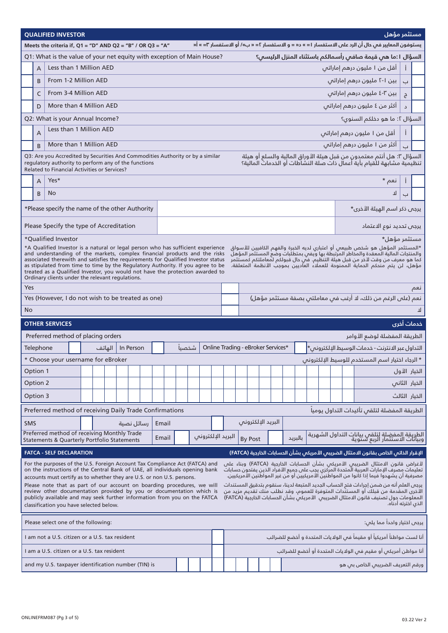|                                                                                                                                                                                                                                                                                                                                                                                                                                                                                                                                                                                                                                                                                                                                                                                                                                                                        | مستثمر مؤهل<br><b>QUALIFIED INVESTOR</b>                                       |                                                                                                                                                                                                                                                                         |  |        |  |            |  |       |  |       |  |  |  |                   |                                    |  |         |  |  |                                                                                                                                                                                                                                                                                  |  |                          |  |
|------------------------------------------------------------------------------------------------------------------------------------------------------------------------------------------------------------------------------------------------------------------------------------------------------------------------------------------------------------------------------------------------------------------------------------------------------------------------------------------------------------------------------------------------------------------------------------------------------------------------------------------------------------------------------------------------------------------------------------------------------------------------------------------------------------------------------------------------------------------------|--------------------------------------------------------------------------------|-------------------------------------------------------------------------------------------------------------------------------------------------------------------------------------------------------------------------------------------------------------------------|--|--------|--|------------|--|-------|--|-------|--|--|--|-------------------|------------------------------------|--|---------|--|--|----------------------------------------------------------------------------------------------------------------------------------------------------------------------------------------------------------------------------------------------------------------------------------|--|--------------------------|--|
| يستوفون المعايير في حال أن الرد على الاستفسار ا = » د« = و الاستفسار ٢= « ب»/ أو الاستفسار ٣= » أ«<br>Meets the criteria if, $Q1 = "D"$ AND $Q2 = "B"$ / OR $Q3 = "A"$                                                                                                                                                                                                                                                                                                                                                                                                                                                                                                                                                                                                                                                                                                 |                                                                                |                                                                                                                                                                                                                                                                         |  |        |  |            |  |       |  |       |  |  |  |                   |                                    |  |         |  |  |                                                                                                                                                                                                                                                                                  |  |                          |  |
|                                                                                                                                                                                                                                                                                                                                                                                                                                                                                                                                                                                                                                                                                                                                                                                                                                                                        |                                                                                | Q1: What is the value of your net equity with exception of Main House?                                                                                                                                                                                                  |  |        |  |            |  |       |  |       |  |  |  |                   |                                    |  |         |  |  | السؤال ا:ما هى قيمة صافى رأسمالكم باستثناء المنزل الرئيسى؟                                                                                                                                                                                                                       |  |                          |  |
|                                                                                                                                                                                                                                                                                                                                                                                                                                                                                                                                                                                                                                                                                                                                                                                                                                                                        | A                                                                              | Less than 1 Million AED                                                                                                                                                                                                                                                 |  |        |  |            |  |       |  |       |  |  |  |                   |                                    |  |         |  |  | أقل من ١ مليون درهم إماراتس                                                                                                                                                                                                                                                      |  |                          |  |
|                                                                                                                                                                                                                                                                                                                                                                                                                                                                                                                                                                                                                                                                                                                                                                                                                                                                        | B                                                                              | From 1-2 Million AED                                                                                                                                                                                                                                                    |  |        |  |            |  |       |  |       |  |  |  |                   |                                    |  |         |  |  | بین ا-۲ ملیون درهم إماراتی                                                                                                                                                                                                                                                       |  | $\overline{\phantom{0}}$ |  |
|                                                                                                                                                                                                                                                                                                                                                                                                                                                                                                                                                                                                                                                                                                                                                                                                                                                                        | C                                                                              | From 3-4 Million AED                                                                                                                                                                                                                                                    |  |        |  |            |  |       |  |       |  |  |  |                   |                                    |  |         |  |  | بين ٣-٤ مليون درهم إماراتس                                                                                                                                                                                                                                                       |  | ڄ                        |  |
|                                                                                                                                                                                                                                                                                                                                                                                                                                                                                                                                                                                                                                                                                                                                                                                                                                                                        | D                                                                              | More than 4 Million AED                                                                                                                                                                                                                                                 |  |        |  |            |  |       |  |       |  |  |  |                   |                                    |  |         |  |  | أكثر من ٤ مليون درهم إماراتس                                                                                                                                                                                                                                                     |  |                          |  |
|                                                                                                                                                                                                                                                                                                                                                                                                                                                                                                                                                                                                                                                                                                                                                                                                                                                                        |                                                                                | Q2: What is your Annual Income?                                                                                                                                                                                                                                         |  |        |  |            |  |       |  |       |  |  |  |                   |                                    |  |         |  |  | السؤال ٢: ما هو دخلكم السنوى؟                                                                                                                                                                                                                                                    |  |                          |  |
|                                                                                                                                                                                                                                                                                                                                                                                                                                                                                                                                                                                                                                                                                                                                                                                                                                                                        | $\overline{A}$                                                                 | Less than 1 Million AED                                                                                                                                                                                                                                                 |  |        |  |            |  |       |  |       |  |  |  |                   |                                    |  |         |  |  | أقل من ا مليون درهم إماراتى                                                                                                                                                                                                                                                      |  | Î.                       |  |
|                                                                                                                                                                                                                                                                                                                                                                                                                                                                                                                                                                                                                                                                                                                                                                                                                                                                        | <sub>R</sub>                                                                   | More than 1 Million AED                                                                                                                                                                                                                                                 |  |        |  |            |  |       |  |       |  |  |  |                   |                                    |  |         |  |  | أكثر من ا مليون درهم إماراتى                                                                                                                                                                                                                                                     |  | $\Box$                   |  |
| السؤال ٣: هل أنتم معتمدون من قبل هيئة الأوراق المالية والسلع أو هيئة<br>تنظيمية مشابهة للقيام بأية أعمال ذات صلة النشاطات أو الخدمات المالية؟<br>Q3: Are you Accredited by Securities And Commodities Authority or by a similar<br>regulatory authority to perform any of the functions<br>Related to Financial Activities or Services?                                                                                                                                                                                                                                                                                                                                                                                                                                                                                                                                |                                                                                |                                                                                                                                                                                                                                                                         |  |        |  |            |  |       |  |       |  |  |  |                   |                                    |  |         |  |  |                                                                                                                                                                                                                                                                                  |  |                          |  |
|                                                                                                                                                                                                                                                                                                                                                                                                                                                                                                                                                                                                                                                                                                                                                                                                                                                                        | نعم *<br>Yes*<br>A                                                             |                                                                                                                                                                                                                                                                         |  |        |  |            |  |       |  |       |  |  |  | -Î                |                                    |  |         |  |  |                                                                                                                                                                                                                                                                                  |  |                          |  |
|                                                                                                                                                                                                                                                                                                                                                                                                                                                                                                                                                                                                                                                                                                                                                                                                                                                                        | No<br>B<br>ᇺ                                                                   |                                                                                                                                                                                                                                                                         |  |        |  |            |  |       |  |       |  |  |  |                   |                                    |  |         |  |  |                                                                                                                                                                                                                                                                                  |  |                          |  |
|                                                                                                                                                                                                                                                                                                                                                                                                                                                                                                                                                                                                                                                                                                                                                                                                                                                                        | يرجى ذكر اسم الهيئة الأخرى*<br>*Please specify the name of the other Authority |                                                                                                                                                                                                                                                                         |  |        |  |            |  |       |  |       |  |  |  |                   |                                    |  |         |  |  |                                                                                                                                                                                                                                                                                  |  |                          |  |
|                                                                                                                                                                                                                                                                                                                                                                                                                                                                                                                                                                                                                                                                                                                                                                                                                                                                        |                                                                                | Please Specify the type of Accreditation                                                                                                                                                                                                                                |  |        |  |            |  |       |  |       |  |  |  |                   |                                    |  |         |  |  | يرجى تحديد نوع الاعتماد                                                                                                                                                                                                                                                          |  |                          |  |
| مستثمر مؤهل*<br>*Oualified Investor<br>*A Qualified Investor is a natural or legal person who has sufficient experience<br>*المستثمر المؤهل هو شخص طبيعى أو اعتباري لديه الخبرة والفهم الكافيين للأسواق<br>and understanding of the markets, complex financial products and the risks<br>والمنتجات المالية المعقدة والمخاطر المرتبطة بها ويفس بمتطلبات وضع المستثمر المؤهل<br>كَما هو معرف من وقت لآخَر من قبل هيئَة التَنَظِّيمَ. فتَّي حال قبولكُم لمعاملتكم كَمستَثمرَ<br>associated therewith and satisfies the requirements for Qualified Investor status<br>as stipulated from time to time by the Regulatory Authority. If you agree to be<br>مؤهل، لن يتم منحكم الحماية الممنوحة للعملاء العاديين بموجب الأنظمة المتعلقة.<br>treated as a Qualified Investor, you would not have the protection awarded to<br>Ordinary clients under the relevant regulations. |                                                                                |                                                                                                                                                                                                                                                                         |  |        |  |            |  |       |  |       |  |  |  |                   |                                    |  |         |  |  |                                                                                                                                                                                                                                                                                  |  |                          |  |
|                                                                                                                                                                                                                                                                                                                                                                                                                                                                                                                                                                                                                                                                                                                                                                                                                                                                        | Yes<br>نعم                                                                     |                                                                                                                                                                                                                                                                         |  |        |  |            |  |       |  |       |  |  |  |                   |                                    |  |         |  |  |                                                                                                                                                                                                                                                                                  |  |                          |  |
|                                                                                                                                                                                                                                                                                                                                                                                                                                                                                                                                                                                                                                                                                                                                                                                                                                                                        |                                                                                | Yes (However, I do not wish to be treated as one)                                                                                                                                                                                                                       |  |        |  |            |  |       |  |       |  |  |  |                   |                                    |  |         |  |  | نعم (على الرغم من ذلك، لد أرغب فى معاملتى بصفة مستثمر مؤهل)                                                                                                                                                                                                                      |  |                          |  |
| <b>No</b>                                                                                                                                                                                                                                                                                                                                                                                                                                                                                                                                                                                                                                                                                                                                                                                                                                                              |                                                                                |                                                                                                                                                                                                                                                                         |  |        |  |            |  |       |  |       |  |  |  |                   |                                    |  |         |  |  |                                                                                                                                                                                                                                                                                  |  |                          |  |
|                                                                                                                                                                                                                                                                                                                                                                                                                                                                                                                                                                                                                                                                                                                                                                                                                                                                        |                                                                                | <b>OTHER SERVICES</b>                                                                                                                                                                                                                                                   |  |        |  |            |  |       |  |       |  |  |  |                   |                                    |  |         |  |  |                                                                                                                                                                                                                                                                                  |  | خدمات أخرى               |  |
|                                                                                                                                                                                                                                                                                                                                                                                                                                                                                                                                                                                                                                                                                                                                                                                                                                                                        |                                                                                | Preferred method of placing orders                                                                                                                                                                                                                                      |  |        |  |            |  |       |  |       |  |  |  |                   |                                    |  |         |  |  | الطريقة المفضلة لوضع الأوامر                                                                                                                                                                                                                                                     |  |                          |  |
|                                                                                                                                                                                                                                                                                                                                                                                                                                                                                                                                                                                                                                                                                                                                                                                                                                                                        | Telephone                                                                      |                                                                                                                                                                                                                                                                         |  | الهاتف |  | In Person  |  |       |  | شخصىا |  |  |  |                   | Online Trading - eBroker Services* |  |         |  |  | التداول عبر الانترنت - خدمات الوسيط الإلكترونص*                                                                                                                                                                                                                                  |  |                          |  |
|                                                                                                                                                                                                                                                                                                                                                                                                                                                                                                                                                                                                                                                                                                                                                                                                                                                                        |                                                                                | * Choose your username for eBroker                                                                                                                                                                                                                                      |  |        |  |            |  |       |  |       |  |  |  |                   |                                    |  |         |  |  | * الرجاء اختيار اسم المستخدم للوسيط الإلكترونس                                                                                                                                                                                                                                   |  |                          |  |
|                                                                                                                                                                                                                                                                                                                                                                                                                                                                                                                                                                                                                                                                                                                                                                                                                                                                        | Option 1                                                                       |                                                                                                                                                                                                                                                                         |  |        |  |            |  |       |  |       |  |  |  |                   |                                    |  |         |  |  |                                                                                                                                                                                                                                                                                  |  | الخيار الأول             |  |
|                                                                                                                                                                                                                                                                                                                                                                                                                                                                                                                                                                                                                                                                                                                                                                                                                                                                        | Option 2                                                                       |                                                                                                                                                                                                                                                                         |  |        |  |            |  |       |  |       |  |  |  |                   |                                    |  |         |  |  |                                                                                                                                                                                                                                                                                  |  | الخيار الثانى            |  |
|                                                                                                                                                                                                                                                                                                                                                                                                                                                                                                                                                                                                                                                                                                                                                                                                                                                                        | Option 3                                                                       |                                                                                                                                                                                                                                                                         |  |        |  |            |  |       |  |       |  |  |  |                   |                                    |  |         |  |  |                                                                                                                                                                                                                                                                                  |  | الخيار الثالث            |  |
|                                                                                                                                                                                                                                                                                                                                                                                                                                                                                                                                                                                                                                                                                                                                                                                                                                                                        |                                                                                | Preferred method of receiving Daily Trade Confirmations                                                                                                                                                                                                                 |  |        |  |            |  |       |  |       |  |  |  |                   |                                    |  |         |  |  | الطريقة المفضلة لتلقى تأكيدات التداول يومياً                                                                                                                                                                                                                                     |  |                          |  |
| <b>SMS</b>                                                                                                                                                                                                                                                                                                                                                                                                                                                                                                                                                                                                                                                                                                                                                                                                                                                             |                                                                                |                                                                                                                                                                                                                                                                         |  |        |  | رسائل نصية |  | Email |  |       |  |  |  |                   | البريد الإلكترونى                  |  |         |  |  |                                                                                                                                                                                                                                                                                  |  |                          |  |
|                                                                                                                                                                                                                                                                                                                                                                                                                                                                                                                                                                                                                                                                                                                                                                                                                                                                        |                                                                                | Preferred method of receiving Monthly Trade<br>Statements & Quarterly Portfolio Statements                                                                                                                                                                              |  |        |  |            |  | Email |  |       |  |  |  | البريد الإلكترونى | By Post                            |  | بالبريد |  |  | الطريقة المفضلة لتلقى بيانات التداول الشهرية<br>وبيانات الاستثمار الربع سنوية                                                                                                                                                                                                    |  |                          |  |
|                                                                                                                                                                                                                                                                                                                                                                                                                                                                                                                                                                                                                                                                                                                                                                                                                                                                        |                                                                                | <b>FATCA - SELF DECLARATION</b>                                                                                                                                                                                                                                         |  |        |  |            |  |       |  |       |  |  |  |                   |                                    |  |         |  |  | الإقرار الذاتي الخاص بـقانون الامتثال الضريبي الأمريكي بشأن الحسابات الخارجية (FATCA)                                                                                                                                                                                            |  |                          |  |
|                                                                                                                                                                                                                                                                                                                                                                                                                                                                                                                                                                                                                                                                                                                                                                                                                                                                        |                                                                                | For the purposes of the U.S. Foreign Account Tax Compliance Act (FATCA) and<br>on the instructions of the Central Bank of UAE, all individuals opening bank<br>accounts must certify as to whether they are U.S. or non U.S. persons.                                   |  |        |  |            |  |       |  |       |  |  |  |                   |                                    |  |         |  |  | لأغراض قانون الامتثال الضريبى الأمريكى بشأن الحسابات الخارجية (FATCA) وبناء على<br>تعليماتٌ مصرفٌ الإماراتُ العربيَّة الِّمتحدة المركّزي يجبّ على جميع الأفُراد الذين يفتحونُ حساباتٌ<br>مصرفية أن يشهدوا فيما إذا كانوا من المواطنين الأمريكيين أو من غير المواطنين الأمريكيين. |  |                          |  |
|                                                                                                                                                                                                                                                                                                                                                                                                                                                                                                                                                                                                                                                                                                                                                                                                                                                                        |                                                                                | Please note that as part of our account on boarding procedures, we will<br>review other documentation provided by you or documentation which is<br>publicly available and may seek further information from you on the FATCA<br>classification you have selected below. |  |        |  |            |  |       |  |       |  |  |  |                   |                                    |  |         |  |  | يرجص العلم انه من ضمن إجراءات فتم الحساب الجديد المتبعة لدينا، سنقوم بتدقيق المستندات<br>الْأَخرى المقدمة من قبلك أو المستنَّدات المتوفرة للعموم، وقد نطلب منك تقديم مزيد من<br>المعلومات حول تصنيف قانون الامتثال الضريبس  الأمريكس بشأن الحسابات الخارجية (FATCA)              |  | الذي اخترته أدناه.       |  |
|                                                                                                                                                                                                                                                                                                                                                                                                                                                                                                                                                                                                                                                                                                                                                                                                                                                                        |                                                                                | Please select one of the following:                                                                                                                                                                                                                                     |  |        |  |            |  |       |  |       |  |  |  |                   |                                    |  |         |  |  | يرجى اختيار واحداً مما يلى:                                                                                                                                                                                                                                                      |  |                          |  |
|                                                                                                                                                                                                                                                                                                                                                                                                                                                                                                                                                                                                                                                                                                                                                                                                                                                                        |                                                                                | I am not a U.S. citizen or a U.S. tax resident                                                                                                                                                                                                                          |  |        |  |            |  |       |  |       |  |  |  |                   |                                    |  |         |  |  | أنا لست مواطناً أمريكياً أو مقيماً فى الولايات المتحدة و أخضع للضرائب                                                                                                                                                                                                            |  |                          |  |
|                                                                                                                                                                                                                                                                                                                                                                                                                                                                                                                                                                                                                                                                                                                                                                                                                                                                        |                                                                                | I am a U.S. citizen or a U.S. tax resident                                                                                                                                                                                                                              |  |        |  |            |  |       |  |       |  |  |  |                   |                                    |  |         |  |  | أنا مواطن أمريكي أو مقيم في الولايات المتحدة أو أخضع للضرائب                                                                                                                                                                                                                     |  |                          |  |
| ورقم التعريف الضريبى الخاص بى هو<br>and my U.S. taxpayer identification number (TIN) is                                                                                                                                                                                                                                                                                                                                                                                                                                                                                                                                                                                                                                                                                                                                                                                |                                                                                |                                                                                                                                                                                                                                                                         |  |        |  |            |  |       |  |       |  |  |  |                   |                                    |  |         |  |  |                                                                                                                                                                                                                                                                                  |  |                          |  |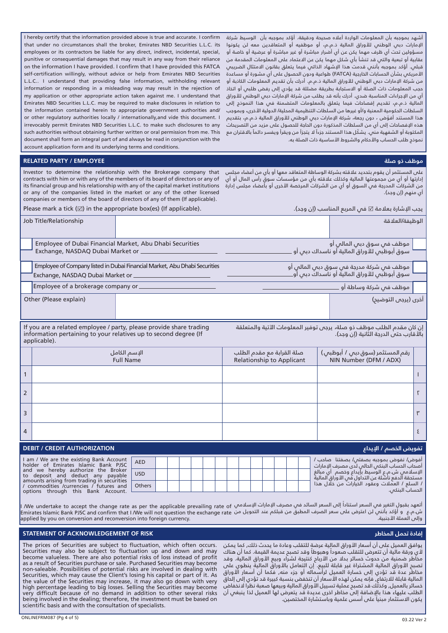I hereby certify that the information provided above is true and accurate. I confirm that under no circumstances shall the broker, Emirates NBD Securities L.L.C. its employees or its contractors be liable for any direct, indirect, incidental, special, punitive or consequential damages that may result in any way from their reliance on the information I have provided. I confirm that I have provided this FATCA self-certification willingly, without advice or help from Emirates NBD Securities L.L.C.. I understand that providing false information, withholding relevant information or responding in a misleading way may result in the rejection of my application or other appropriate action taken against me. I understand that Emirates NBD Securities L.L.C. may be required to make disclosures in relation to the information contained herein to appropriate government authorities and/ or other regulatory authorities locally / internationally,and vide this document. I irrevocably permit Emirates NBD Securities L.L.C. to make such disclosures to any such authorities without obtaining further written or oral permission from me. This document shall form an integral part of and always be read in conjunction with the account application form and its underlying terms and conditions.

### **موظف ذو صلة EMPLOYEE / PARTY RELATED**

Investor to determine the relationship with the Brokerage company tha contracts with him or with any of the members of its board of directors or any c its financial group and his relationship with any of the capital market institution or any of the companies listed in the market or any of the other license companies or members of the board of directors of any of them (If applicable).

Please mark a tick  $(\boxtimes)$  in the appropriate box(es) (If applicable).

أشهد بموجبه بأن المعلومات الواردة أعاله صحيحة ودقيقة. أؤكد بموجبه بأن الوسيط شركة الإمارات دبي الوطني للأوراق المالية ذ.م.م، أو موظفيه أو المتعاقدين معه لن يكونوا مسؤولين تحت أي ظرف مهما يكن عن أي أضرار مباشرة أو غير مباشرة أو عرضية أو خاصة أو عقابية أو تبعية والتي قد تنشأ بأي شكل مهما يكن عن االعتماد على المعلومات المقدمة من قبلي. أؤكد بموجبه بأنني قدمت هذا اإلشهاد الذاتي فيما يتعلق بقانون االمتثال الضريبي األمريكي بشأن الحسابات الخارجية )FATCA )طواعية ودون الحصول على أي مشورة أو مساعدة من شركة الإمارات دبي الوطني للأوراق المالية ذ.م.م. أدرك بأن تقديم المعلومات الكاذبة أو حجب المعلومات ذات الصلة أو االستجابة بطريقة مضللة قد يؤدي إلى رفض طلبي أو اتخاذ أي من اإلجراءات المناسبة ضدي. أدرك بأنه قد يطلب من شركة اإلمارات دبي الوطني لألوراق المالية ذ.م.م، تقديم إفصاحات فيما يتعلق بالمعلومات المتضمنة في هذا النموذج إلى السلطات الحكومية المعنية و/أو غيرها من السلطات التنظيمية المحلية/ الدولية األخرى، وبموجب هذا المستند أفوّض ، دون رجعة، شركة الإمارات دبى الوطنى للأوراق المالية ذ.م.م، بتقديم هذه اإلفصاحات إلى أي من السلطات المذكورة دون الحاجة للحصول على مزيد من التصريحات المكتوبة أو الشفهية منى. يشكّل هذا المستند جزءاً لا يتجزأ من ويقرأ ويفسر دائماً بالاقتران مع نموذج طلب الحساب والأحكام والشروط الأساسية ذات الصلة به.

|    | على المستثمر أن يقوم بتحديد علاقته بشركة الوساطة المتعاقد معها أو بأى من أعضاء مجلس     t |
|----|-------------------------------------------------------------------------------------------|
| f. | إدارتها أو أي من مجموعتها المالية وكذلك علاقته بأي من مؤسسات سوق رأس المال أو أي ا        |
|    | ِ من الشركات المدرجة في السوق أو أي من الشركات المرخصة الأخرى أو بأُعضاء مجلس إدارة    s  |
|    | ای منهم (إن وجد).                                                                         |

يجب الإشارة بعلامة ⊠ في المربع المناسب (إن وجد).

| Job Title/Relationship             |                                                                            |  | الوظيفة/العلاقة                                                                 |  |  |  |  |  |  |
|------------------------------------|----------------------------------------------------------------------------|--|---------------------------------------------------------------------------------|--|--|--|--|--|--|
| Exchange, NASDAQ Dubai Market or   | Employee of Dubai Financial Market, Abu Dhabi Securities                   |  | ٍ موظفٍ في سوق دبي المالي أو<br>سوق أبوظبِّس للأوراق المالية أو ناسداك دبس أو ـ |  |  |  |  |  |  |
| Exchange, NASDAQ Dubai Market or   | Employee of Company listed in Dubai Financial Market, Abu Dhabi Securities |  |                                                                                 |  |  |  |  |  |  |
| Employee of a brokerage company or |                                                                            |  | ِ موظف في شركة وساطة أو ا                                                       |  |  |  |  |  |  |
| Other (Please explain)             |                                                                            |  | ُخرى (يرجى التوضيح)                                                             |  |  |  |  |  |  |

If you are a related employee / party, please provide share trading information pertaining to your relatives up to second degree (If applicable).

إن كان مقدم الطلب موظف ذو صلة، يرجى توفير المعلومات اآلتية والمتعلقة بالأقارب حتى الدرجة الثانية (إن وجد).

|                | الإسم الكامل<br><b>Full Name</b>                                                                                                                           |                          | صلة القرابة مع مقدم الطلب<br><b>Relationship to Applicant</b> |  | رقم المستثمر (سوق دبى / أبوظبي)<br>NIN Number (DFM / ADX) |  |  |                                                                                                                                                 |  |  |                                        |   |
|----------------|------------------------------------------------------------------------------------------------------------------------------------------------------------|--------------------------|---------------------------------------------------------------|--|-----------------------------------------------------------|--|--|-------------------------------------------------------------------------------------------------------------------------------------------------|--|--|----------------------------------------|---|
|                |                                                                                                                                                            |                          |                                                               |  |                                                           |  |  |                                                                                                                                                 |  |  |                                        |   |
| $\overline{2}$ |                                                                                                                                                            |                          |                                                               |  |                                                           |  |  |                                                                                                                                                 |  |  |                                        |   |
| $\overline{3}$ |                                                                                                                                                            |                          |                                                               |  |                                                           |  |  |                                                                                                                                                 |  |  |                                        |   |
| $\overline{4}$ |                                                                                                                                                            |                          |                                                               |  |                                                           |  |  |                                                                                                                                                 |  |  |                                        | Σ |
|                | <b>DEBIT / CREDIT AUTHORIZATION</b>                                                                                                                        |                          |                                                               |  |                                                           |  |  |                                                                                                                                                 |  |  | تفويض الخصم / الإيداع <sub>ا</sub>     |   |
|                | I am / We are the existing Bank Account<br>holder of Emirates Islamic Bank PJSC<br>and we hereby authorize the Broker<br>to deposit and deduct any payable | <b>AED</b><br><b>USD</b> |                                                               |  |                                                           |  |  | أصحاب الحساب البنكس الحالس لدى مصرف الإمارات<br>الإسلامي ش.م.ع الوسيط بإيداع وخصم  أي مبالغ<br>مستحقة الدفع ناشئة عن التداول في الأوراق المالية |  |  | أفوض/ نفوض بموجبه بصفتي/ بصفتنا صاحب / |   |

| and we hereby authorize the Broker<br>pavable<br>to deposit<br>and deduct any                                             | <b>USD</b> |  |  |  |  |  | الإسلامص ش.م.ع الوسيط بإيداع وخصم  أي مبالغ<br>مستحقة ألدفع ناشئة عن التداول فَمِي الأوراق الماليةَ |
|---------------------------------------------------------------------------------------------------------------------------|------------|--|--|--|--|--|-----------------------------------------------------------------------------------------------------|
| amounts arising from trading in securities<br>commodities /currencies / futures and<br>options through this Bank Account. | Others     |  |  |  |  |  | / السلع / العملات وعقود الخيارات من خلال هذا \'<br>الحساب البنكم                                    |
|                                                                                                                           |            |  |  |  |  |  |                                                                                                     |

ا تعهد بقبول التغير في السعر استناداً إلى السعر السائد في مصرف الإمارات الإسلامي Me undertake to accept the change rate as per the applicable prevailing rate of y ش.م.ع و أؤكد بانني لن اعترض على سعر الصرف المطبق من قبلكم عند التحويل من Emirates Islamic Bank PJSC and confirm that I /We will not question the exchange rate .<br>وإلى العملة الأجنبية. applied by you on conversion and reconversion into foreign currency.

## **STATEMENT OF ACKNOWLEDGEMENT OF RISK المخاطر تحمل إفادة**

يوافق العميل على أن أسعار األوراق المالية عرضة للتقلب وعادة ما يحدث ذلك, كما يمكن لأي ورقة مالية أن تتعرض للتقلب صعوداً وهبوطاً وقد تصبح عديمة القيمة. كما أن هناك مخاُطر ضمنية من حدوث خسائر بدلا من الأرباح كنتيجة لشراء وبيع الأوراق المالية. وقد تصبح األوراق المالية المشتراة غير قابلة للبيع. إن التعامل باألوراق المالية ينطوي على مخاطر عدة قد تؤدي إلى خسارة العميل لرأسماله أو جزء منه, فكما أن أسعار األوراق المالية قابلة للارتفاع, فإنه يمكن لهذه الأسعار أن تنخفض بنسبة كبيرة قد تؤدي إلى إلحاق خسائر بالعميل, وكذلّك قد تصبح عملية تسييل الأوراق المالية وبيعها صعبة نظراً لانخفاض الطلب عليهاء هذا باإلضافة إلى مخاطر اخرى عديدة قد يتعرض لها العميل لذا ينبغي أن يكون الاستثمار مبنياً على أسس علمية وباستشارة المختصين.

The prices of Securities are subject to fluctuation, which often occurs. Securities may also be subject to fluctuation up and down and may become valueless. There are also potential risks of loss instead of profit as a result of Securities purchase or sale. Purchased Securities may become non-saleable. Possibilities of potential risks are involved in dealing with Securities, which may cause the Client's losing his capital or part of it. As the value of the Securities may increase, it may also go down with very high percentage leading to big losses. Selling the Securities may become very difficult because of no demand in addition to other several risks being involved in the dealing; therefore, the investment must be based on scientific basis and with the consultation of specialists.